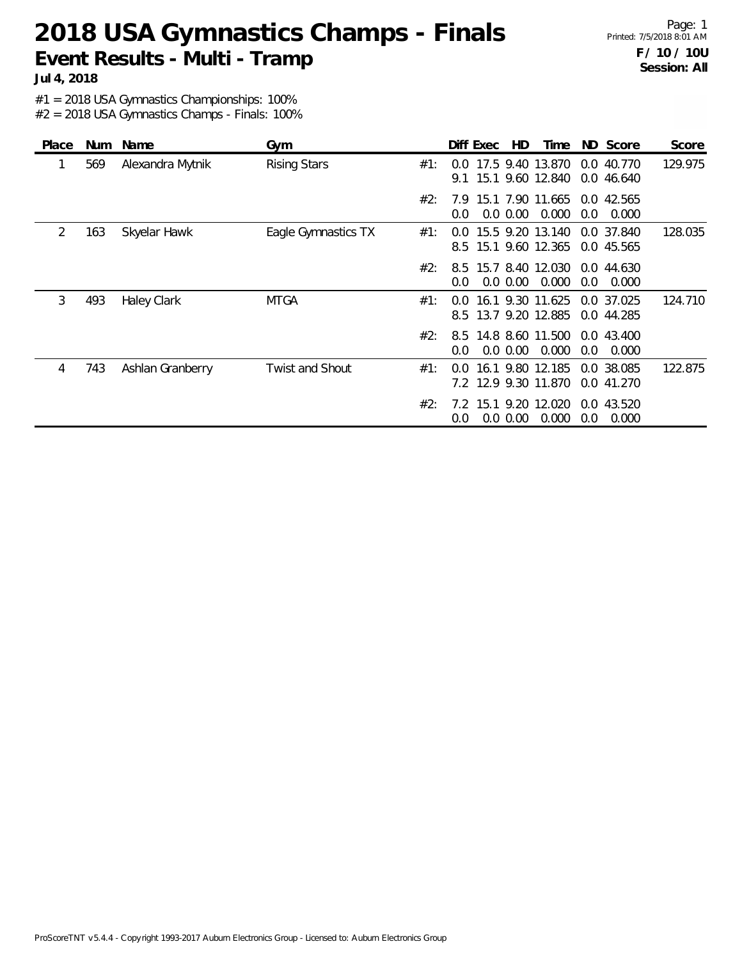Page: 1 Printed: 7/5/2018 8:01 AM **F / 10 / 10U Session: All**

**Jul 4, 2018**

#1 = 2018 USA Gymnastics Championships: 100%

| Place | <b>Num</b> | Name               | Gym                 |     | Diff Exec<br>HD                                              | Time  | ND Score                                | Score   |
|-------|------------|--------------------|---------------------|-----|--------------------------------------------------------------|-------|-----------------------------------------|---------|
|       | 569        | Alexandra Mytnik   | <b>Rising Stars</b> | #1: | 17.5 9.40 13.870<br>$0.0^{\circ}$<br>15.1 9.60 12.840<br>9.1 |       | 0.0 40.770<br>0.046640                  | 129.975 |
|       |            |                    |                     | #2: | 15.1 7.90 11.665<br>7.9<br>$0.0\,0.00$<br>0.0                | 0.000 | 0.0 42.565<br>0.0<br>0.000              |         |
| 2     | 163        | Skyelar Hawk       | Eagle Gymnastics TX | #1: | 15.5 9.20 13.140<br>$0.0^{\circ}$<br>15.1 9.60 12.365<br>8.5 |       | 0.0 37.840<br>0.0 45.565                | 128.035 |
|       |            |                    |                     | #2: | 15.7 8.40 12.030<br>8.5<br>$0.0\,0.00$<br>$0.0\,$            | 0.000 | 0.0 44.630<br>0.0<br>0.000              |         |
| 3     | 493        | <b>Haley Clark</b> | <b>MTGA</b>         | #1: | 16.1 9.30 11.625<br>0.0<br>13.7 9.20 12.885<br>8.5           |       | 0.0 37.025<br>0.0 44.285                | 124.710 |
|       |            |                    |                     | #2: | 14.8 8.60 11.500<br>8.5<br>$0.0\,0.00$<br>$0.0\,$            | 0.000 | 0.043.400<br>0.0<br>0.000               |         |
| 4     | 743        | Ashlan Granberry   | Twist and Shout     | #1: | 16.1 9.80 12.185<br>$0.0^{\circ}$<br>7.2 12.9 9.30 11.870    |       | 0.0 38.085<br>0.0 41.270                | 122.875 |
|       |            |                    |                     | #2: | 15.1 9.20 12.020<br>7.2<br>$0.0\ 0.00$<br>0.0                | 0.000 | 43.520<br>$0.0^{\circ}$<br>0.000<br>0.0 |         |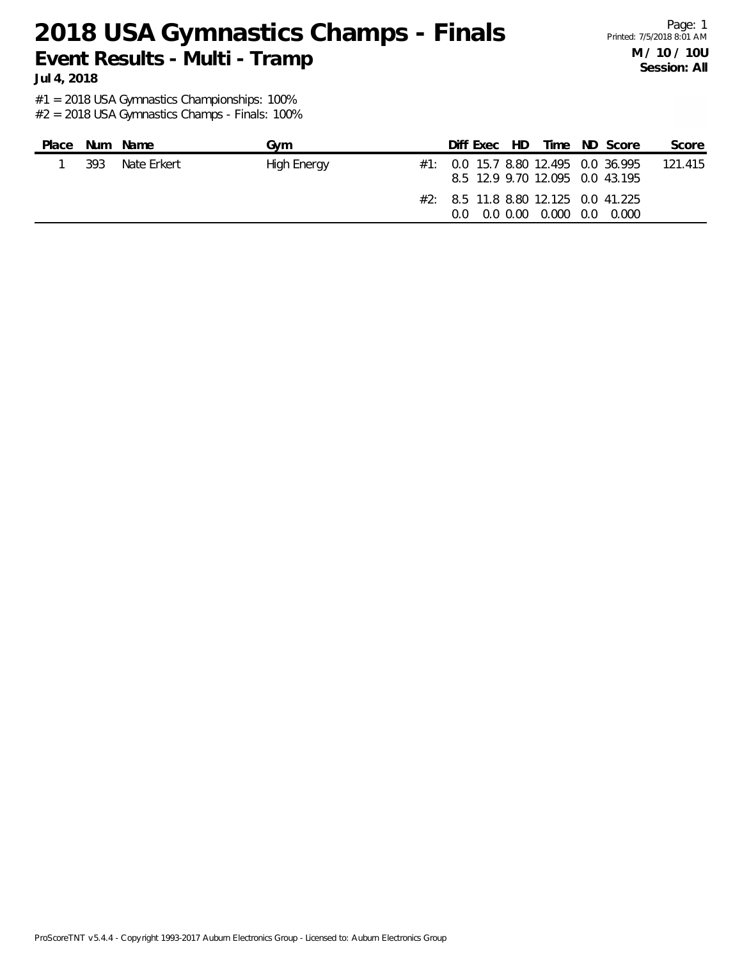Page: 1 Printed: 7/5/2018 8:01 AM **M / 10 / 10U Session: All**

**Jul 4, 2018**

#1 = 2018 USA Gymnastics Championships: 100%

| Place |     | Num Name    | Gvm         |         | Diff Exec HD |                                                               | Time ND Score                           | Score   |
|-------|-----|-------------|-------------|---------|--------------|---------------------------------------------------------------|-----------------------------------------|---------|
|       | 393 | Nate Frkert | High Energy |         |              | 8.5 12.9 9.70 12.095 0.0 43.195                               | $\#1$ : 0.0 15.7 8.80 12.495 0.0 36.995 | 121.415 |
|       |     |             |             | $0.0^-$ |              | $\#2$ : 8.5 11.8 8.80 12.125 0.0 41.225<br>0.0 0.00 0.000 0.0 | 0.000                                   |         |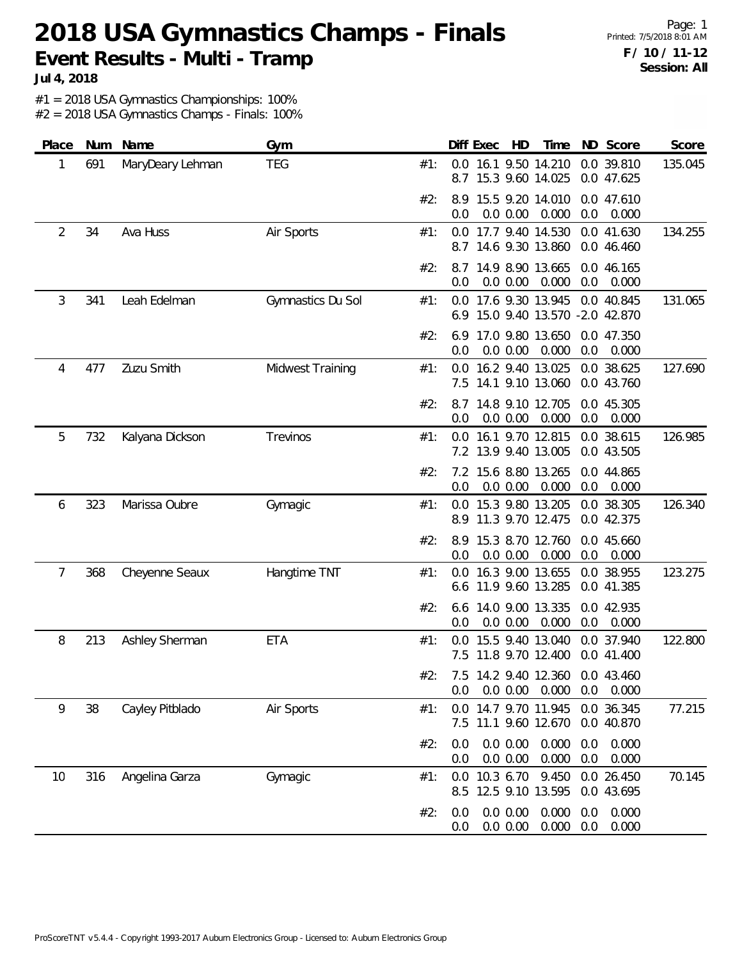**Jul 4, 2018**

#1 = 2018 USA Gymnastics Championships: 100%

| Place | Num | Name             | Gym               |     | Diff Exec<br>ND Score<br>Score<br>HD<br>Time                                              |
|-------|-----|------------------|-------------------|-----|-------------------------------------------------------------------------------------------|
| 1     | 691 | MaryDeary Lehman | <b>TEG</b>        | #1: | 16.1 9.50 14.210<br>0.0 39.810<br>135.045<br>0.0<br>15.3 9.60 14.025<br>8.7<br>0.0 47.625 |
|       |     |                  |                   | #2: | 8.9 15.5 9.20 14.010<br>0.0 47.610<br>0.0 0.00<br>0.000<br>0.0<br>0.0<br>0.000            |
| 2     | 34  | Ava Huss         | Air Sports        | #1: | 0.0 17.7 9.40 14.530<br>0.0 41.630<br>134.255<br>8.7 14.6 9.30 13.860<br>0.0 46.460       |
|       |     |                  |                   | #2: | 8.7 14.9 8.90 13.665<br>0.0 46.165<br>0.0 0.00<br>0.000<br>0.0<br>0.000<br>0.0            |
| 3     | 341 | Leah Edelman     | Gymnastics Du Sol | #1: | 0.0 17.6 9.30 13.945<br>0.0 40.845<br>131.065<br>15.0 9.40 13.570 -2.0 42.870<br>6.9      |
|       |     |                  |                   | #2: | 17.0 9.80 13.650<br>6.9<br>0.0 47.350<br>0.0 0.00<br>0.000<br>0.0<br>0.0<br>0.000         |
| 4     | 477 | Zuzu Smith       | Midwest Training  | #1: | 16.2 9.40 13.025<br>127.690<br>0.0<br>0.0 38.625<br>7.5 14.1 9.10 13.060<br>0.0 43.760    |
|       |     |                  |                   | #2: | 8.7 14.8 9.10 12.705<br>0.0 45.305<br>0.000<br>0.0 0.00<br>0.0<br>0.000<br>0.0            |
| 5     | 732 | Kalyana Dickson  | Trevinos          | #1: | 0.0 16.1 9.70 12.815<br>0.0 38.615<br>126.985<br>7.2 13.9 9.40 13.005<br>0.0 43.505       |
|       |     |                  |                   | #2: | 7.2 15.6 8.80 13.265<br>0.0 44.865<br>0.0 0.00<br>0.000<br>0.0<br>0.0<br>0.000            |
| 6     | 323 | Marissa Oubre    | Gymagic           | #1: | 0.0 15.3 9.80 13.205<br>0.0 38.305<br>126.340<br>11.3 9.70 12.475<br>0.0 42.375<br>8.9    |
|       |     |                  |                   | #2: | 15.3 8.70 12.760<br>8.9<br>0.0 45.660<br>0.0<br>0.0 0.00<br>0.000<br>0.0<br>0.000         |
| 7     | 368 | Cheyenne Seaux   | Hangtime TNT      | #1: | 123.275<br>16.3 9.00 13.655<br>0.0 38.955<br>0.0<br>11.9 9.60 13.285<br>0.0 41.385<br>6.6 |
|       |     |                  |                   | #2: | 14.0 9.00 13.335<br>0.0 42.935<br>6.6<br>0.000<br>0.0 0.00<br>0.0<br>0.000<br>0.0         |
| 8     | 213 | Ashley Sherman   | <b>ETA</b>        | #1: | 15.5 9.40 13.040<br>0.0 37.940<br>122.800<br>0.0<br>7.5 11.8 9.70 12.400<br>0.0 41.400    |
|       |     |                  |                   |     | #2: 7.5 14.2 9.40 12.360 0.0 43.460<br>$0.0$ $0.00$ $0.000$<br>0.0<br>0.000<br>0.0        |
| 9     | 38  | Cayley Pitblado  | Air Sports        | #1: | 0.0 36.345<br>0.0 14.7 9.70 11.945<br>77.215<br>7.5 11.1 9.60 12.670<br>0.0 40.870        |
|       |     |                  |                   | #2: | 0.0 0.00<br>0.000<br>0.0<br>0.000<br>0.0<br>0.0 0.00<br>0.000<br>0.0<br>0.000<br>0.0      |
| 10    | 316 | Angelina Garza   | Gymagic           | #1: | 0.0 10.3 6.70<br>9.450<br>0.0 26.450<br>70.145<br>8.5 12.5 9.10 13.595<br>0.0 43.695      |
|       |     |                  |                   | #2: | 0.0 0.00<br>0.000<br>0.000<br>0.0<br>0.0<br>0.0 0.00<br>0.000<br>0.0<br>0.000<br>0.0      |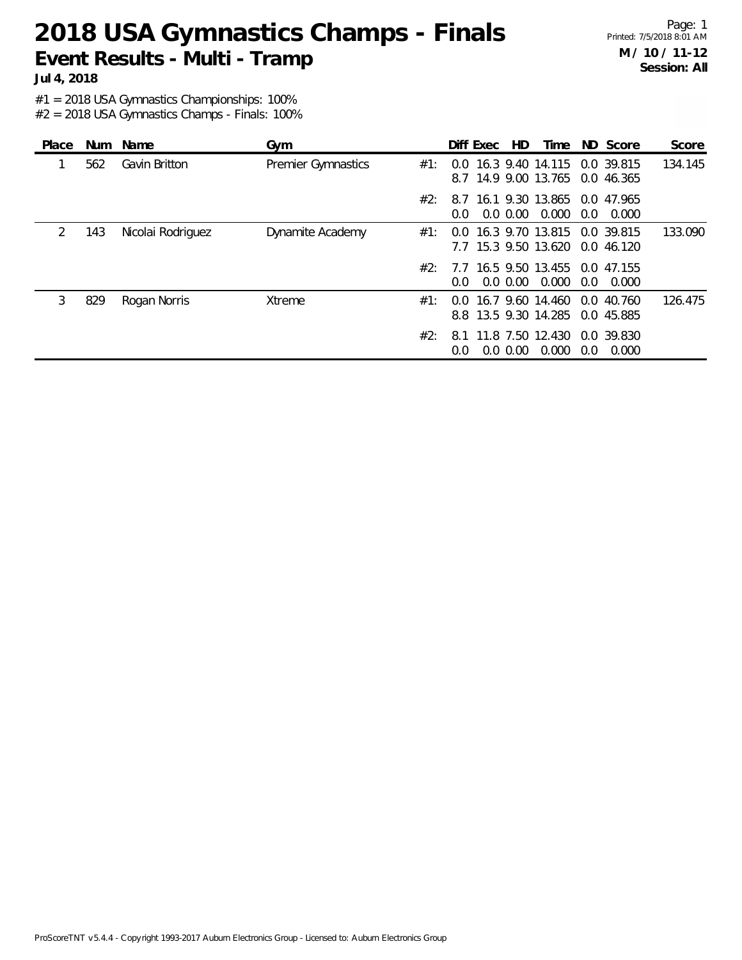Page: 1 Printed: 7/5/2018 8:01 AM **M / 10 / 11-12 Session: All**

**Jul 4, 2018**

#1 = 2018 USA Gymnastics Championships: 100%

| Place         | Num | Name              | Gym                       |     | Diff Exec     |             | HD. | Time                                         |               | ND Score                 | Score   |
|---------------|-----|-------------------|---------------------------|-----|---------------|-------------|-----|----------------------------------------------|---------------|--------------------------|---------|
|               | 562 | Gavin Britton     | <b>Premier Gymnastics</b> | #1: | $0.0^{\circ}$ |             |     | 16.3 9.40 14.115<br>8.7 14.9 9.00 13.765     |               | 0.0 39.815<br>0.0 46.365 | 134.145 |
|               |     |                   |                           | #2: | $0.0^{\circ}$ | $0.0\,0.00$ |     | 8.7 16.1 9.30 13.865 0.0 47.965<br>0.000     | $0.0^{\circ}$ | 0.000                    |         |
| $\mathcal{P}$ | 143 | Nicolai Rodriguez | Dynamite Academy          | #1: |               |             |     | 0.0 16.3 9.70 13.815<br>7.7 15.3 9.50 13.620 |               | 0.0 39.815<br>0.0 46.120 | 133.090 |
|               |     |                   |                           | #2: | $0.0^{\circ}$ | $0.0\,0.00$ |     | 7.7 16.5 9.50 13.455<br>0.000                | $0.0^{\circ}$ | 0.0 47.155<br>0.000      |         |
| 3             | 829 | Rogan Norris      | Xtreme                    | #1: | 0.0           |             |     | 16.7 9.60 14.460<br>8.8 13.5 9.30 14.285     |               | 0.040.760<br>0.0 45.885  | 126.475 |
|               |     |                   |                           | #2: | 8.1<br>0.0    | $0.0\,0.00$ |     | 11.8 7.50 12.430<br>0.000                    | 0.0           | 0.0 39.830<br>0.000      |         |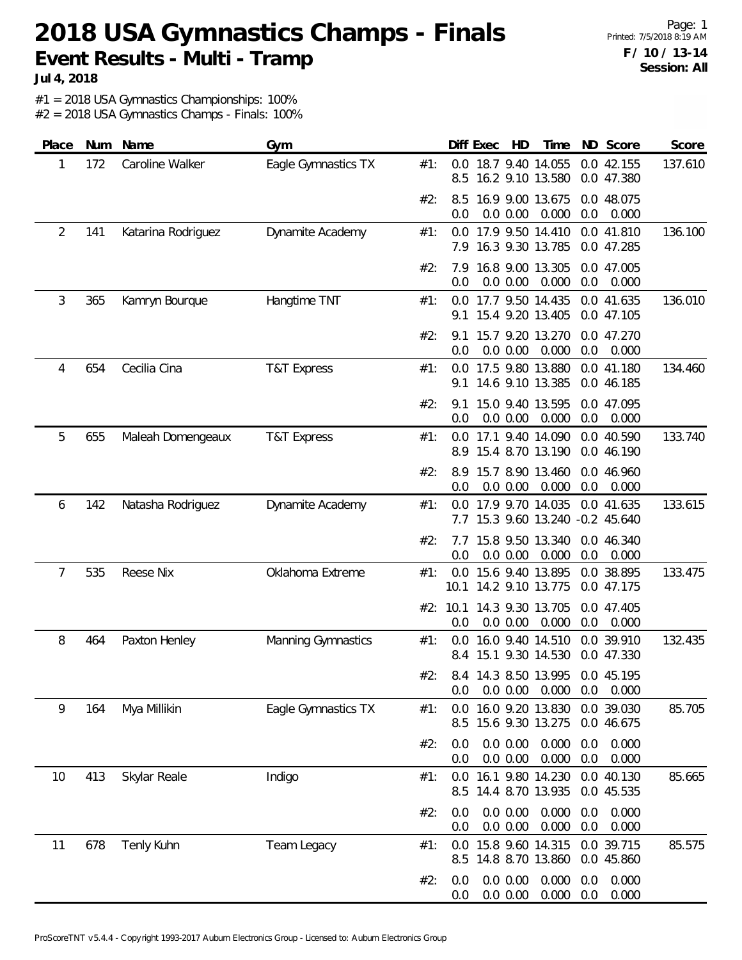Page: 1 Printed: 7/5/2018 8:19 AM **F / 10 / 13-14 Session: All**

**Jul 4, 2018**

#1 = 2018 USA Gymnastics Championships: 100%

| Place | Num | Name               | Gym                    |     |                  | Diff Exec | HD                   | Time                                                  |            | ND Score                 | Score   |
|-------|-----|--------------------|------------------------|-----|------------------|-----------|----------------------|-------------------------------------------------------|------------|--------------------------|---------|
| 1     | 172 | Caroline Walker    | Eagle Gymnastics TX    | #1: | 8.5              |           |                      | 0.0 18.7 9.40 14.055<br>16.2 9.10 13.580              |            | 0.0 42.155<br>0.0 47.380 | 137.610 |
|       |     |                    |                        | #2: | 8.5<br>0.0       |           | 0.0 0.00             | 16.9 9.00 13.675<br>0.000                             | 0.0        | 0.0 48.075<br>0.000      |         |
| 2     | 141 | Katarina Rodriguez | Dynamite Academy       | #1: |                  |           |                      | 0.0 17.9 9.50 14.410<br>7.9 16.3 9.30 13.785          |            | 0.0 41.810<br>0.0 47.285 | 136.100 |
|       |     |                    |                        | #2: | 7.9<br>0.0       |           | 0.0 0.00             | 16.8 9.00 13.305<br>0.000                             | 0.0        | 0.0 47.005<br>0.000      |         |
| 3     | 365 | Kamryn Bourque     | Hangtime TNT           | #1: | 9.1              |           |                      | 0.0 17.7 9.50 14.435<br>15.4 9.20 13.405              |            | 0.0 41.635<br>0.0 47.105 | 136.010 |
|       |     |                    |                        | #2: | 9.1<br>0.0       |           | 0.0 0.00             | 15.7 9.20 13.270<br>0.000                             | 0.0        | 0.0 47.270<br>0.000      |         |
| 4     | 654 | Cecilia Cina       | <b>T&amp;T Express</b> | #1: | 0.0<br>9.1       |           |                      | 17.5 9.80 13.880<br>14.6 9.10 13.385                  |            | 0.0 41.180<br>0.0 46.185 | 134.460 |
|       |     |                    |                        | #2: | 9.1<br>0.0       |           | 0.0 0.00             | 15.0 9.40 13.595<br>0.000                             | 0.0        | 0.0 47.095<br>0.000      |         |
| 5     | 655 | Maleah Domengeaux  | <b>T&amp;T Express</b> | #1: | 0.0              |           |                      | 17.1 9.40 14.090<br>8.9 15.4 8.70 13.190              |            | 0.0 40.590<br>0.0 46.190 | 133.740 |
|       |     |                    |                        | #2: | 8.9<br>0.0       |           | 0.0 0.00             | 15.7 8.90 13.460<br>0.000                             | 0.0        | 0.0 46.960<br>0.000      |         |
| 6     | 142 | Natasha Rodriguez  | Dynamite Academy       | #1: | 7.7              |           |                      | 0.0 17.9 9.70 14.035<br>15.3 9.60 13.240 -0.2 45.640  |            | 0.0 41.635               | 133.615 |
|       |     |                    |                        | #2: | 7.7<br>0.0       |           | 0.0 0.00             | 15.8 9.50 13.340<br>0.000                             | 0.0        | 0.0 46.340<br>0.000      |         |
| 7     | 535 | Reese Nix          | Oklahoma Extreme       | #1: | 0.0<br>10.1      |           |                      | 15.6 9.40 13.895<br>14.2 9.10 13.775                  |            | 0.0 38.895<br>0.0 47.175 | 133.475 |
|       |     |                    |                        |     | #2: 10.1<br>0.0  |           | 0.0 0.00             | 14.3 9.30 13.705<br>0.000                             | 0.0        | 0.0 47.405<br>0.000      |         |
| 8     | 464 | Paxton Henley      | Manning Gymnastics     | #1: | 0.0              |           |                      | 16.0 9.40 14.510<br>8.4 15.1 9.30 14.530              |            | 0.0 39.910<br>0.0 47.330 | 132.435 |
|       |     |                    |                        | #2: | 0.0 <sub>1</sub> |           |                      | 8.4 14.3 8.50 13.995 0.0 45.195<br>0.0 0.00 0.000 0.0 |            | 0.000                    |         |
| 9     | 164 | Mya Millikin       | Eagle Gymnastics TX    | #1: | 8.5              |           |                      | 0.0 16.0 9.20 13.830<br>15.6 9.30 13.275              |            | 0.0 39.030<br>0.0 46.675 | 85.705  |
|       |     |                    |                        | #2: | 0.0<br>0.0       |           | 0.0 0.00<br>0.0 0.00 | 0.000<br>0.000                                        | 0.0<br>0.0 | 0.000<br>0.000           |         |
| 10    | 413 | Skylar Reale       | Indigo                 | #1: | 8.5              |           |                      | 0.0 16.1 9.80 14.230<br>14.4 8.70 13.935              |            | 0.0 40.130<br>0.0 45.535 | 85.665  |
|       |     |                    |                        | #2: | 0.0<br>0.0       |           | 0.0 0.00<br>0.0 0.00 | 0.000<br>0.000                                        | 0.0<br>0.0 | 0.000<br>0.000           |         |
| 11    | 678 | Tenly Kuhn         | Team Legacy            | #1: | 0.0              |           |                      | 15.8 9.60 14.315<br>8.5 14.8 8.70 13.860              |            | 0.0 39.715<br>0.0 45.860 | 85.575  |
|       |     |                    |                        | #2: | 0.0<br>0.0       |           | 0.0 0.00<br>0.0 0.00 | 0.000<br>0.000                                        | 0.0<br>0.0 | 0.000<br>0.000           |         |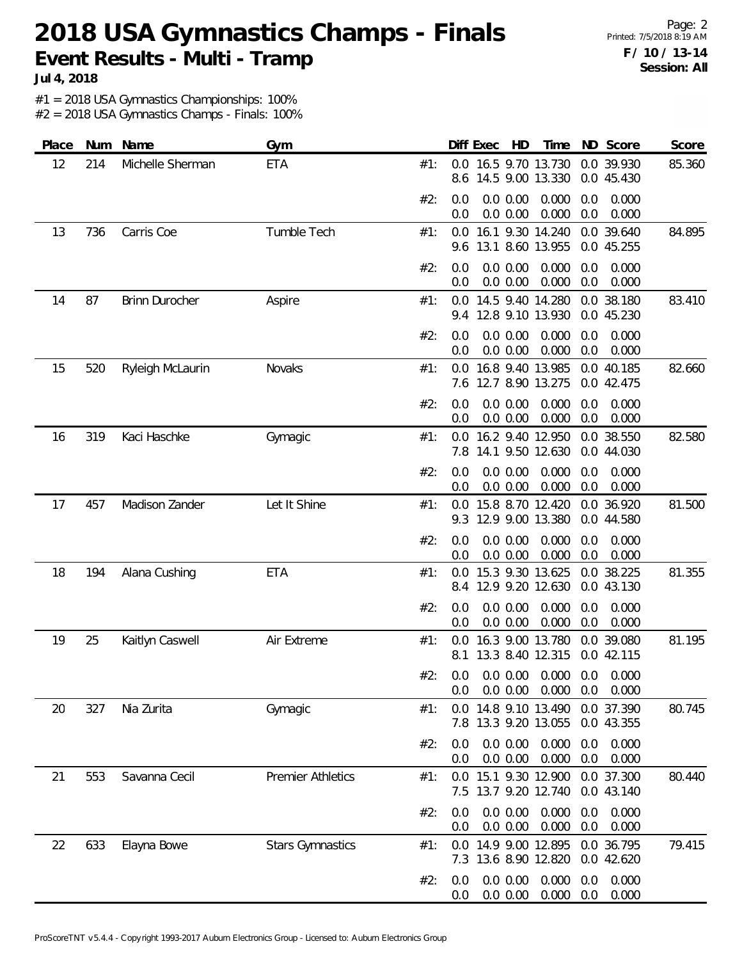**Jul 4, 2018**

#1 = 2018 USA Gymnastics Championships: 100%

| Place | Num | Name                  | Gym                      |     |                | Diff Exec | HD                      | Time                                              |            | ND Score                 | Score  |
|-------|-----|-----------------------|--------------------------|-----|----------------|-----------|-------------------------|---------------------------------------------------|------------|--------------------------|--------|
| 12    | 214 | Michelle Sherman      | <b>ETA</b>               | #1: | 8.6            |           |                         | 0.0 16.5 9.70 13.730<br>14.5 9.00 13.330          |            | 0.0 39.930<br>0.0 45.430 | 85.360 |
|       |     |                       |                          | #2: | 0.0<br>0.0     |           | 0.0 0.00<br>0.0 0.00    | 0.000<br>0.000                                    | 0.0<br>0.0 | 0.000<br>0.000           |        |
| 13    | 736 | Carris Coe            | Tumble Tech              | #1: | 9.6            |           |                         | 0.0 16.1 9.30 14.240<br>13.1 8.60 13.955          |            | 0.0 39.640<br>0.0 45.255 | 84.895 |
|       |     |                       |                          | #2: | 0.0<br>0.0     |           | 0.0 0.00<br>0.0 0.00    | 0.000<br>0.000                                    | 0.0<br>0.0 | 0.000<br>0.000           |        |
| 14    | 87  | <b>Brinn Durocher</b> | Aspire                   | #1: | 0.0<br>9.4     |           |                         | 14.5 9.40 14.280<br>12.8 9.10 13.930              |            | 0.0 38.180<br>0.0 45.230 | 83.410 |
|       |     |                       |                          | #2: | 0.0<br>0.0     |           | $0.0\ 0.00$<br>0.0 0.00 | 0.000<br>0.000                                    | 0.0<br>0.0 | 0.000<br>0.000           |        |
| 15    | 520 | Ryleigh McLaurin      | Novaks                   | #1: | 0.0<br>7.6     |           |                         | 16.8 9.40 13.985<br>12.7 8.90 13.275              |            | 0.0 40.185<br>0.0 42.475 | 82.660 |
|       |     |                       |                          | #2: | 0.0<br>0.0     |           | 0.0 0.00<br>0.0 0.00    | 0.000<br>0.000                                    | 0.0<br>0.0 | 0.000<br>0.000           |        |
| 16    | 319 | Kaci Haschke          | Gymagic                  | #1: | 0.0<br>7.8     |           |                         | 16.2 9.40 12.950<br>14.1 9.50 12.630              |            | 0.0 38.550<br>0.0 44.030 | 82.580 |
|       |     |                       |                          | #2: | 0.0<br>0.0     |           | 0.0 0.00<br>0.0 0.00    | 0.000<br>0.000                                    | 0.0<br>0.0 | 0.000<br>0.000           |        |
| 17    | 457 | Madison Zander        | Let It Shine             | #1: | 0.0<br>9.3     |           |                         | 15.8 8.70 12.420<br>12.9 9.00 13.380              |            | 0.0 36.920<br>0.0 44.580 | 81.500 |
|       |     |                       |                          | #2: | 0.0<br>0.0     |           | 0.0 0.00<br>0.0 0.00    | 0.000<br>0.000                                    | 0.0<br>0.0 | 0.000<br>0.000           |        |
| 18    | 194 | Alana Cushing         | <b>ETA</b>               | #1: | 0.0<br>8.4     |           |                         | 15.3 9.30 13.625<br>12.9 9.20 12.630              |            | 0.0 38.225<br>0.0 43.130 | 81.355 |
|       |     |                       |                          | #2: | 0.0<br>0.0     |           | $0.0\ 0.00$<br>0.0 0.00 | 0.000<br>0.000                                    | 0.0<br>0.0 | 0.000<br>0.000           |        |
| 19    | 25  | Kaitlyn Caswell       | Air Extreme              | #1: | 0.0<br>8.1     |           |                         | 16.3 9.00 13.780<br>13.3 8.40 12.315              |            | 0.0 39.080<br>0.0 42.115 | 81.195 |
|       |     |                       |                          | #2: | 0.0            |           | $0.0\, 0.00$            | $0.0$ $0.0$ $0.00$ $0.000$ $0.0$ $0.000$<br>0.000 | 0.0        | 0.000                    |        |
| 20    | 327 | Nia Zurita            | Gymagic                  | #1: |                |           |                         | 0.0 14.8 9.10 13.490<br>7.8 13.3 9.20 13.055      |            | 0.0 37.390<br>0.0 43.355 | 80.745 |
|       |     |                       |                          | #2: | 0.0<br>0.0     |           | 0.0 0.00<br>0.0 0.00    | 0.000<br>0.000                                    | 0.0<br>0.0 | 0.000<br>0.000           |        |
| 21    | 553 | Savanna Cecil         | <b>Premier Athletics</b> | #1: |                |           |                         | 0.0 15.1 9.30 12.900<br>7.5 13.7 9.20 12.740      |            | 0.0 37.300<br>0.0 43.140 | 80.440 |
|       |     |                       |                          | #2: | 0.0<br>0.0     |           | 0.0 0.00<br>0.0 0.00    | 0.000<br>0.000                                    | 0.0<br>0.0 | 0.000<br>0.000           |        |
| 22    | 633 | Elayna Bowe           | <b>Stars Gymnastics</b>  | #1: | 0.0            |           |                         | 14.9 9.00 12.895<br>7.3 13.6 8.90 12.820          |            | 0.0 36.795<br>0.0 42.620 | 79.415 |
|       |     |                       |                          | #2: | 0.0<br>$0.0\,$ |           | 0.0 0.00<br>0.0 0.00    | 0.000<br>0.000                                    | 0.0<br>0.0 | 0.000<br>0.000           |        |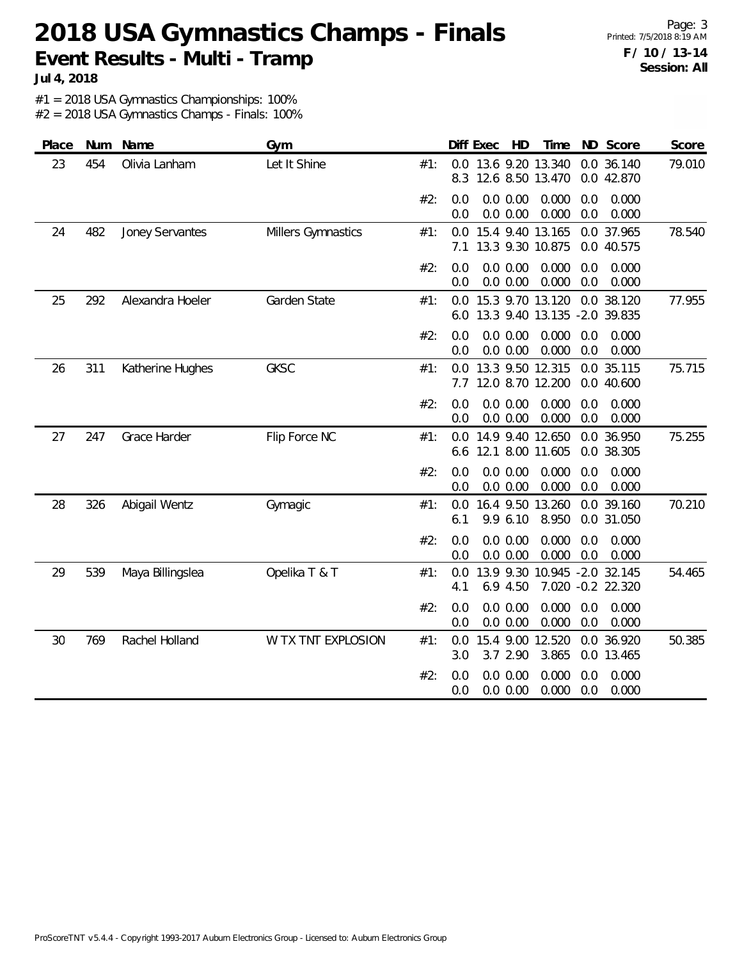Page: 3 Printed: 7/5/2018 8:19 AM **F / 10 / 13-14 Session: All**

**Jul 4, 2018**

#1 = 2018 USA Gymnastics Championships: 100%

| Place | Num | Name             | Gym                |     | HD<br>Time<br>ND Score<br>Score<br>Diff Exec                                              |
|-------|-----|------------------|--------------------|-----|-------------------------------------------------------------------------------------------|
| 23    | 454 | Olivia Lanham    | Let It Shine       | #1: | 13.6 9.20 13.340<br>0.0 36.140<br>79.010<br>0.0<br>12.6 8.50 13.470<br>0.0 42.870<br>8.3  |
|       |     |                  |                    | #2: | 0.0<br>0.0 0.00<br>0.000<br>0.000<br>0.0<br>0.0 0.00<br>0.000<br>0.000<br>0.0<br>0.0      |
| 24    | 482 | Joney Servantes  | Millers Gymnastics | #1: | 0.0 37.965<br>78.540<br>15.4 9.40 13.165<br>0.0<br>13.3 9.30 10.875<br>0.0 40.575<br>7.1  |
|       |     |                  |                    | #2: | 0.0 0.00<br>0.000<br>0.000<br>0.0<br>0.0<br>0.0<br>$0.0\ 0.00$<br>0.000<br>0.0<br>0.000   |
| 25    | 292 | Alexandra Hoeler | Garden State       | #1: | 15.3 9.70 13.120<br>0.0 38.120<br>0.0<br>77.955<br>13.3 9.40 13.135 -2.0 39.835<br>6.0    |
|       |     |                  |                    | #2: | 0.0 0.00<br>0.0<br>0.000<br>0.0<br>0.000<br>0.000<br>0.0<br>0.0 0.00<br>0.0<br>0.000      |
| 26    | 311 | Katherine Hughes | <b>GKSC</b>        | #1: | 13.3 9.50 12.315<br>0.0 35.115<br>75.715<br>0.0<br>12.0 8.70 12.200<br>7.7<br>0.0 40.600  |
|       |     |                  |                    | #2: | 0.0 0.00<br>0.000<br>0.0<br>0.000<br>0.0<br>0.0<br>0.0 0.00<br>0.000<br>0.0<br>0.000      |
| 27    | 247 | Grace Harder     | Flip Force NC      | #1: | 14.9 9.40 12.650<br>0.0 36.950<br>75.255<br>0.0<br>12.1 8.00 11.605<br>0.0 38.305<br>6.6  |
|       |     |                  |                    | #2: | 0.0<br>0.0 0.00<br>0.000<br>0.000<br>0.0<br>0.0<br>0.0 0.00<br>0.000<br>0.0<br>0.000      |
| 28    | 326 | Abigail Wentz    | Gymagic            | #1: | 70.210<br>16.4 9.50 13.260<br>0.0 39.160<br>0.0<br>9.9 6.10<br>8.950<br>0.0 31.050<br>6.1 |
|       |     |                  |                    | #2: | 0.0 0.00<br>0.000<br>0.000<br>0.0<br>0.0<br>0.000<br>0.0<br>0.0 0.00<br>0.0<br>0.000      |
| 29    | 539 | Maya Billingslea | Opelika T & T      | #1: | 13.9 9.30 10.945 -2.0 32.145<br>0.0<br>54.465<br>6.9 4.50<br>7.020 -0.2 22.320<br>4.1     |
|       |     |                  |                    | #2: | 0.0<br>0.0 0.00<br>0.000<br>0.0<br>0.000<br>0.0<br>0.0 0.00<br>0.000<br>0.0<br>0.000      |
| 30    | 769 | Rachel Holland   | W TX TNT EXPLOSION | #1: | 15.4 9.00 12.520<br>0.0 36.920<br>50.385<br>0.0<br>3.7 2.90<br>3.865<br>0.0 13.465<br>3.0 |
|       |     |                  |                    | #2: | 0.0 0.00<br>0.000<br>0.0<br>0.0<br>0.000<br>0.0<br>0.0 0.00<br>0.000<br>0.0<br>0.000      |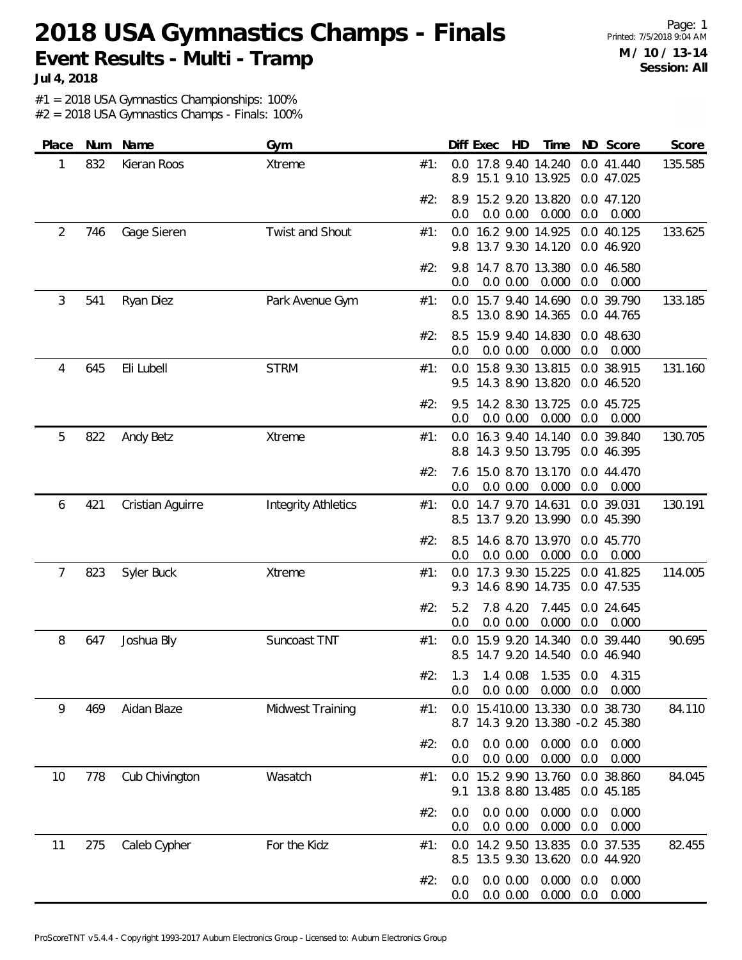Page: 1 Printed: 7/5/2018 9:04 AM **M / 10 / 13-14 Session: All**

**Jul 4, 2018**

#1 = 2018 USA Gymnastics Championships: 100%

| Place | Num | Name             | Gym                        |     | Time<br>ND Score<br>Score<br>Diff Exec<br>HD                                              |
|-------|-----|------------------|----------------------------|-----|-------------------------------------------------------------------------------------------|
| 1     | 832 | Kieran Roos      | Xtreme                     | #1: | 0.0 17.8 9.40 14.240<br>0.0 41.440<br>135.585<br>15.1 9.10 13.925<br>8.9<br>0.0 47.025    |
|       |     |                  |                            | #2: | 8.9 15.2 9.20 13.820<br>0.0 47.120<br>0.0 0.00<br>0.000<br>0.0<br>0.0<br>0.000            |
| 2     | 746 | Gage Sieren      | Twist and Shout            | #1: | 0.0 16.2 9.00 14.925<br>0.0 40.125<br>133.625<br>9.8 13.7 9.30 14.120<br>0.0 46.920       |
|       |     |                  |                            | #2: | 14.7 8.70 13.380<br>0.0 46.580<br>9.8<br>0.0 0.00<br>0.000<br>0.0<br>0.000<br>0.0         |
| 3     | 541 | Ryan Diez        | Park Avenue Gym            | #1: | 133.185<br>0.0 15.7 9.40 14.690 0.0 39.790<br>13.0 8.90 14.365<br>8.5<br>0.0 44.765       |
|       |     |                  |                            | #2: | 15.9 9.40 14.830<br>0.0 48.630<br>8.5<br>0.0 0.00<br>0.000<br>0.0<br>0.000<br>0.0         |
| 4     | 645 | Eli Lubell       | <b>STRM</b>                | #1: | 131.160<br>0.0 15.8 9.30 13.815<br>0.0 38.915<br>14.3 8.90 13.820<br>0.0 46.520<br>9.5    |
|       |     |                  |                            | #2: | 14.2 8.30 13.725<br>0.0 45.725<br>9.5<br>0.0 0.00<br>0.000<br>0.0<br>0.000<br>0.0         |
| 5     | 822 | Andy Betz        | <b>Xtreme</b>              | #1: | 16.3 9.40 14.140<br>0.0 39.840<br>130.705<br>0.0<br>8.8 14.3 9.50 13.795<br>0.0 46.395    |
|       |     |                  |                            | #2: | 15.0 8.70 13.170<br>0.0 44.470<br>7.6<br>0.000<br>0.0<br>0.0 0.00<br>0.0<br>0.000         |
| 6     | 421 | Cristian Aguirre | <b>Integrity Athletics</b> | #1: | 0.0 14.7 9.70 14.631<br>0.0 39.031<br>130.191<br>13.7 9.20 13.990<br>0.0 45.390<br>8.5    |
|       |     |                  |                            | #2: | 14.6 8.70 13.970<br>8.5<br>0.0 45.770<br>0.0<br>0.0 0.00<br>0.000<br>0.0<br>0.000         |
| 7     | 823 | Syler Buck       | Xtreme                     | #1: | 17.3 9.30 15.225<br>114.005<br>0.0 41.825<br>0.0<br>14.6 8.90 14.735<br>0.0 47.535<br>9.3 |
|       |     |                  |                            | #2: | 7.8 4.20<br>7.445<br>0.0 24.645<br>5.2<br>0.0 0.00<br>0.000<br>0.0<br>0.0<br>0.000        |
| 8     | 647 | Joshua Bly       | Suncoast TNT               | #1: | 15.9 9.20 14.340<br>0.0 39.440<br>90.695<br>0.0<br>8.5 14.7 9.20 14.540<br>0.0 46.940     |
|       |     |                  |                            | #2∶ | 1.3 1.4 0.08 1.535 0.0 4.315<br>$0.0$ $0.00$ $0.000$ $0.0$<br>0.000<br>0.0                |
| 9     | 469 | Aidan Blaze      | Midwest Training           | #1: | 0.0 15.410.00 13.330 0.0 38.730<br>84.110<br>8.7 14.3 9.20 13.380 -0.2 45.380             |
|       |     |                  |                            | #2: | 0.0 0.00<br>$0.000 \quad 0.0$<br>0.000<br>0.0<br>0.0 0.00<br>0.000<br>0.0<br>0.0<br>0.000 |
| 10    | 778 | Cub Chivington   | Wasatch                    | #1: | 0.0 15.2 9.90 13.760<br>0.0 38.860<br>84.045<br>9.1 13.8 8.80 13.485<br>0.0 45.185        |
|       |     |                  |                            | #2: | 0.0 0.00<br>0.000<br>0.000<br>0.0<br>0.0<br>0.0 0.00<br>0.000<br>0.0<br>0.000<br>0.0      |
| 11    | 275 | Caleb Cypher     | For the Kidz               | #1: | 14.2 9.50 13.835<br>0.0 37.535<br>82.455<br>0.0<br>8.5 13.5 9.30 13.620<br>0.0 44.920     |
|       |     |                  |                            | #2: | 0.0 0.00<br>0.000<br>0.000<br>0.0<br>0.0<br>$0.000 \quad 0.0$<br>0.0 0.00<br>0.000<br>0.0 |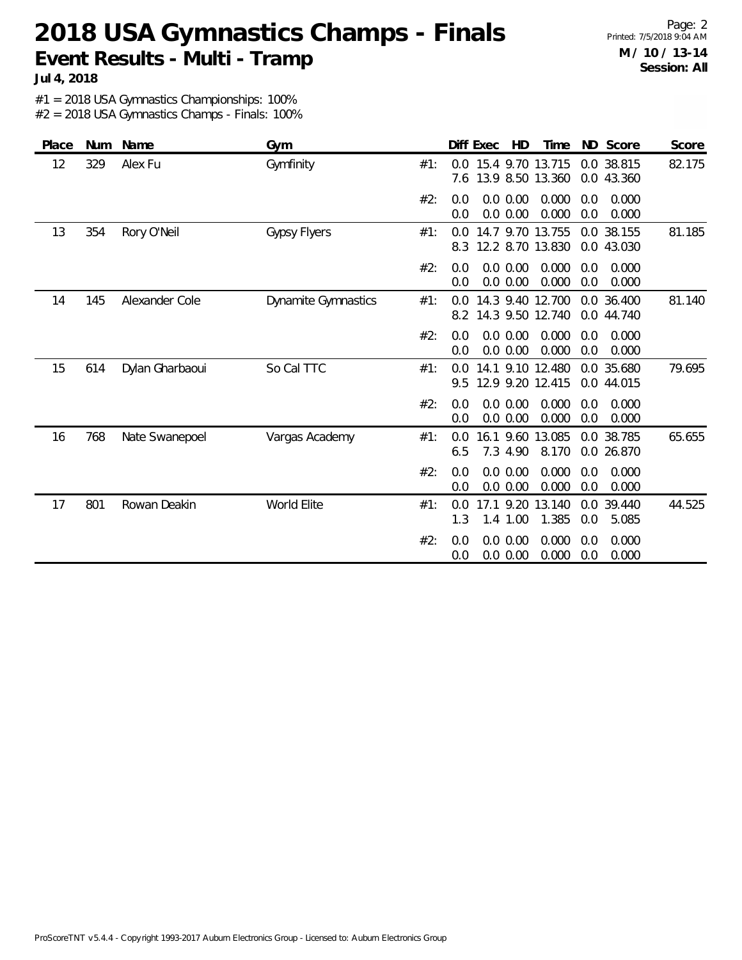Page: 2 Printed: 7/5/2018 9:04 AM **M / 10 / 13-14 Session: All**

**Jul 4, 2018**

#1 = 2018 USA Gymnastics Championships: 100%

| Place | <b>Num</b> | Name            | Gym                 |     | Diff Exec  |                       | HD | Time                                 |            | ND Score                 | Score  |
|-------|------------|-----------------|---------------------|-----|------------|-----------------------|----|--------------------------------------|------------|--------------------------|--------|
| 12    | 329        | Alex Fu         | Gymfinity           | #1: | 0.0<br>7.6 |                       |    | 15.4 9.70 13.715<br>13.9 8.50 13.360 |            | 0.0 38.815<br>0.0 43.360 | 82.175 |
|       |            |                 |                     | #2: | 0.0<br>0.0 | 0.0 0.00<br>0.0 0.00  |    | 0.000<br>0.000                       | 0.0<br>0.0 | 0.000<br>0.000           |        |
| 13    | 354        | Rory O'Neil     | <b>Gypsy Flyers</b> | #1: | 0.0<br>8.3 |                       |    | 14.7 9.70 13.755<br>12.2 8.70 13.830 |            | 0.0 38.155<br>0.0 43.030 | 81.185 |
|       |            |                 |                     | #2: | 0.0<br>0.0 | 0.0 0.00<br>0.0 0.00  |    | 0.000<br>0.000                       | 0.0<br>0.0 | 0.000<br>0.000           |        |
| 14    | 145        | Alexander Cole  | Dynamite Gymnastics | #1: | 0.0<br>8.2 |                       |    | 14.3 9.40 12.700<br>14.3 9.50 12.740 |            | 0.0 36.400<br>0.0 44.740 | 81.140 |
|       |            |                 |                     | #2: | 0.0<br>0.0 | 0.0 0.00<br>0.0 0.00  |    | 0.000<br>0.000                       | 0.0<br>0.0 | 0.000<br>0.000           |        |
| 15    | 614        | Dylan Gharbaoui | So Cal TTC          | #1: | 0.0<br>9.5 | 14.1 9.10             |    | 12.480<br>12.9 9.20 12.415           | 0.0        | 35.680<br>0.0 44.015     | 79.695 |
|       |            |                 |                     | #2: | 0.0<br>0.0 | 0.0 0.00<br>0.0 0.00  |    | 0.000<br>0.000                       | 0.0<br>0.0 | 0.000<br>0.000           |        |
| 16    | 768        | Nate Swanepoel  | Vargas Academy      | #1: | 0.0<br>6.5 | 7.3 4.90              |    | 16.1 9.60 13.085<br>8.170            |            | 0.0 38.785<br>0.0 26.870 | 65.655 |
|       |            |                 |                     | #2: | 0.0<br>0.0 | 0.0 0.00<br>0.0 0.00  |    | 0.000<br>0.000                       | 0.0<br>0.0 | 0.000<br>0.000           |        |
| 17    | 801        | Rowan Deakin    | World Elite         | #1: | 0.0<br>1.3 | 17.1 9.20<br>1.4 1.00 |    | 13.140<br>1.385                      | 0.0<br>0.0 | 39.440<br>5.085          | 44.525 |
|       |            |                 |                     | #2: | 0.0<br>0.0 | 0.0 0.00<br>0.0 0.00  |    | 0.000<br>0.000                       | 0.0<br>0.0 | 0.000<br>0.000           |        |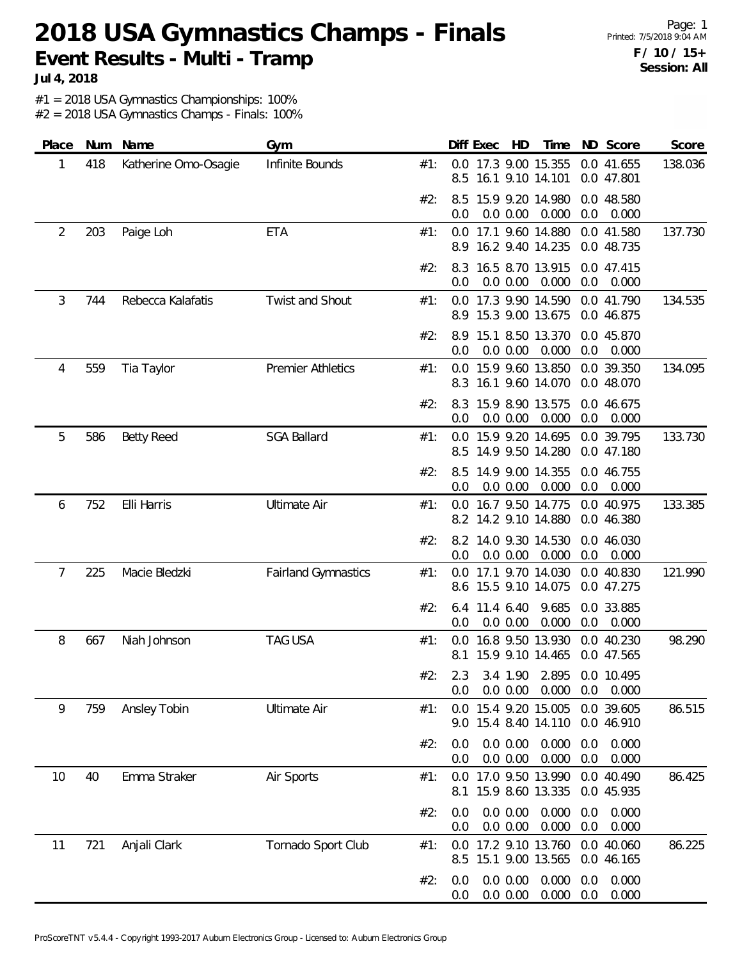Page: 1 Printed: 7/5/2018 9:04 AM **F / 10 / 15+ Session: All**

**Jul 4, 2018**

#1 = 2018 USA Gymnastics Championships: 100%

| Place | Num | Name                 | Gym                        |     | Diff Exec<br>HD<br>Time<br>ND Score<br>Score                                              |
|-------|-----|----------------------|----------------------------|-----|-------------------------------------------------------------------------------------------|
| 1     | 418 | Katherine Omo-Osagie | Infinite Bounds            | #1: | 17.3 9.00 15.355<br>0.0 41.655<br>138.036<br>0.0<br>16.1 9.10 14.101<br>8.5<br>0.0 47.801 |
|       |     |                      |                            | #2: | 15.9 9.20 14.980<br>0.0 48.580<br>8.5<br>0.000<br>0.0 0.00<br>0.0<br>0.000<br>0.0         |
| 2     | 203 | Paige Loh            | ETA                        | #1: | 17.1 9.60 14.880<br>0.0 41.580<br>0.0<br>137.730<br>8.9 16.2 9.40 14.235<br>0.0 48.735    |
|       |     |                      |                            | #2: | 16.5 8.70 13.915<br>0.0 47.415<br>8.3<br>0.000<br>0.0<br>0.0 0.00<br>0.0<br>0.000         |
| 3     | 744 | Rebecca Kalafatis    | Twist and Shout            | #1: | 0.0 17.3 9.90 14.590<br>0.0 41.790<br>134.535<br>15.3 9.00 13.675<br>8.9<br>0.0 46.875    |
|       |     |                      |                            | #2: | 15.1 8.50 13.370<br>0.0 45.870<br>8.9<br>0.0<br>0.0 0.00<br>0.000<br>0.0<br>0.000         |
| 4     | 559 | Tia Taylor           | <b>Premier Athletics</b>   | #1: | 0.0 15.9 9.60 13.850<br>134.095<br>0.0 39.350<br>16.1 9.60 14.070<br>0.0 48.070<br>8.3    |
|       |     |                      |                            | #2: | 15.9 8.90 13.575<br>0.0 46.675<br>8.3<br>0.000<br>0.0 0.00<br>0.0<br>0.000<br>0.0         |
| 5     | 586 | <b>Betty Reed</b>    | <b>SGA Ballard</b>         | #1: | 15.9 9.20 14.695<br>0.0 39.795<br>0.0<br>133.730<br>14.9 9.50 14.280<br>8.5<br>0.0 47.180 |
|       |     |                      |                            | #2: | 14.9 9.00 14.355<br>0.0 46.755<br>8.5<br>0.0<br>0.0 0.00<br>0.000<br>0.0<br>0.000         |
| 6     | 752 | Elli Harris          | <b>Ultimate Air</b>        | #1: | 16.7 9.50 14.775<br>0.0 40.975<br>133.385<br>0.0<br>8.2 14.2 9.10 14.880<br>0.0 46.380    |
|       |     |                      |                            | #2: | 8.2 14.0 9.30 14.530<br>0.0 46.030<br>0.0<br>0.0 0.00<br>0.000<br>0.0<br>0.000            |
| 7     | 225 | Macie Bledzki        | <b>Fairland Gymnastics</b> | #1: | 17.1 9.70 14.030<br>0.0 40.830<br>121.990<br>0.0<br>15.5 9.10 14.075<br>0.0 47.275<br>8.6 |
|       |     |                      |                            | #2: | 11.4 6.40<br>9.685<br>0.0 33.885<br>6.4<br>0.000<br>0.0 0.00<br>0.0<br>0.000<br>0.0       |
| 8     | 667 | Niah Johnson         | <b>TAG USA</b>             | #1: | 16.8 9.50 13.930<br>0.0 40.230<br>98.290<br>0.0<br>15.9 9.10 14.465<br>0.0 47.565<br>8.1  |
|       |     |                      |                            | #2: | 2.3 3.4 1.90 2.895 0.0 10.495<br>0.000<br>0.0 0.00<br>0.0<br>0.000<br>0.0                 |
| 9     | 759 | Ansley Tobin         | <b>Ultimate Air</b>        | #1: | 0.0 15.4 9.20 15.005<br>0.0 39.605<br>86.515<br>9.0 15.4 8.40 14.110<br>0.0 46.910        |
|       |     |                      |                            | #2: | 0.0 0.00<br>0.000<br>0.000<br>0.0<br>0.0<br>0.000<br>0.0 0.00<br>0.000<br>0.0<br>0.0      |
| 10    | 40  | Emma Straker         | Air Sports                 | #1: | 17.0 9.50 13.990<br>0.0 40.490<br>86.425<br>0.0<br>15.9 8.60 13.335<br>0.0 45.935<br>8.1  |
|       |     |                      |                            | #2: | 0.0 0.00<br>0.000<br>0.000<br>0.0<br>0.0<br>0.000<br>0.000<br>0.0 0.00<br>0.0<br>0.0      |
| 11    | 721 | Anjali Clark         | Tornado Sport Club         | #1: | 86.225<br>0.0 17.2 9.10 13.760<br>0.0 40.060<br>15.1 9.00 13.565<br>8.5<br>0.0 46.165     |
|       |     |                      |                            | #2: | 0.0 0.00<br>0.000<br>0.000<br>0.0<br>0.0<br>0.000<br>0.000<br>0.0 0.00<br>0.0<br>0.0      |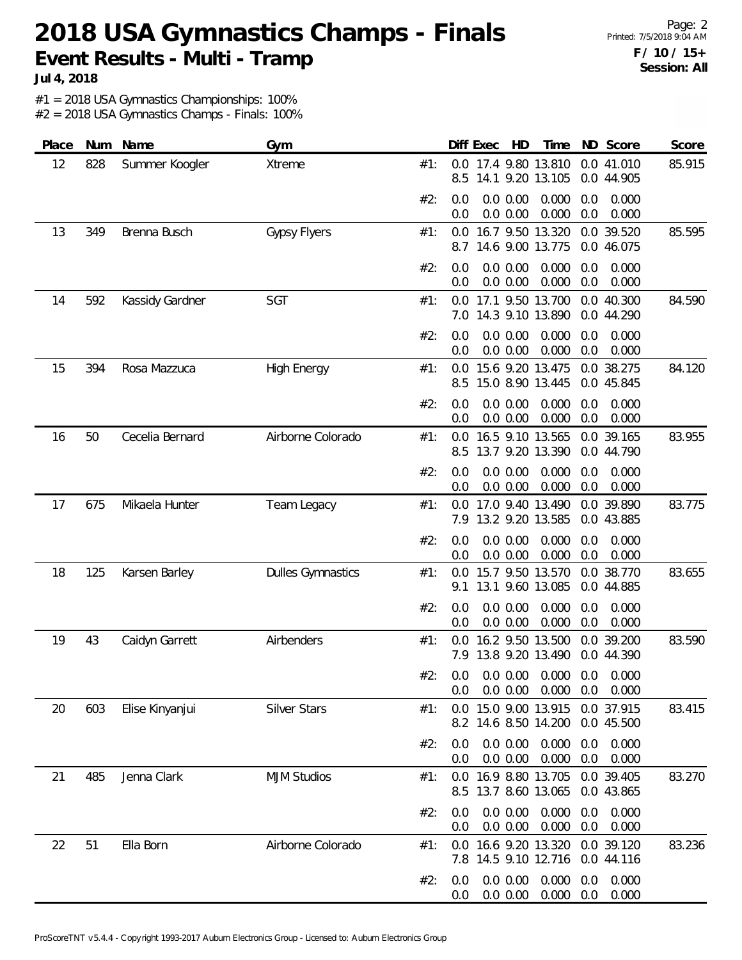**Jul 4, 2018**

#1 = 2018 USA Gymnastics Championships: 100%

| Place | Num | Name            | Gym                      |     | Diff Exec<br>HD<br>ND Score<br>Score<br>Time                                                |
|-------|-----|-----------------|--------------------------|-----|---------------------------------------------------------------------------------------------|
| 12    | 828 | Summer Koogler  | Xtreme                   | #1: | 0.0 17.4 9.80 13.810<br>0.0 41.010<br>85.915<br>14.1 9.20 13.105<br>8.5<br>0.0 44.905       |
|       |     |                 |                          | #2: | 0.0<br>0.0 0.00<br>0.000<br>0.0<br>0.000<br>0.000<br>0.0<br>0.0 0.00<br>0.0<br>0.000        |
| 13    | 349 | Brenna Busch    | <b>Gypsy Flyers</b>      | #1: | 0.0 16.7 9.50 13.320<br>0.0 39.520<br>85.595<br>14.6 9.00 13.775<br>8.7<br>0.0 46.075       |
|       |     |                 |                          | #2: | 0.0 0.00<br>0.000<br>0.000<br>0.0<br>0.0<br>0.0 0.00<br>0.000<br>0.0<br>0.000<br>0.0        |
| 14    | 592 | Kassidy Gardner | <b>SGT</b>               | #1: | 17.1 9.50 13.700<br>0.0 40.300<br>0.0<br>84.590<br>14.3 9.10 13.890<br>0.0 44.290<br>7.0    |
|       |     |                 |                          | #2: | 0.000<br>0.000<br>0.0 0.00<br>0.0<br>0.0<br>0.0 0.00<br>0.000<br>0.0<br>0.000<br>0.0        |
| 15    | 394 | Rosa Mazzuca    | <b>High Energy</b>       | #1: | 15.6 9.20 13.475<br>0.0 38.275<br>84.120<br>0.0<br>15.0 8.90 13.445<br>0.0 45.845<br>8.5    |
|       |     |                 |                          | #2: | 0.0<br>0.0 0.00<br>0.000<br>0.0<br>0.000<br>0.0 0.00<br>0.000<br>0.000<br>0.0<br>0.0        |
| 16    | 50  | Cecelia Bernard | Airborne Colorado        | #1: | 16.5 9.10 13.565<br>0.0 39.165<br>83.955<br>0.0<br>13.7 9.20 13.390<br>8.5<br>0.0 44.790    |
|       |     |                 |                          | #2: | 0.0 0.00<br>0.0<br>0.000<br>0.0<br>0.000<br>0.0 0.00<br>0.000<br>0.0<br>0.000<br>0.0        |
| 17    | 675 | Mikaela Hunter  | Team Legacy              | #1: | 83.775<br>17.0 9.40 13.490<br>0.0<br>39.890<br>0.0<br>13.2 9.20 13.585<br>7.9<br>0.0 43.885 |
|       |     |                 |                          | #2: | 0.0 0.00<br>0.000<br>0.000<br>0.0<br>0.0<br>0.000<br>0.000<br>0.0 0.00<br>0.0<br>0.0        |
| 18    | 125 | Karsen Barley   | <b>Dulles Gymnastics</b> | #1: | 0.0 38.770<br>15.7 9.50 13.570<br>83.655<br>0.0<br>13.1 9.60 13.085<br>0.0 44.885<br>9.1    |
|       |     |                 |                          | #2: | 0.0 0.00<br>0.000<br>0.0<br>0.000<br>0.0<br>0.0 0.00<br>0.000<br>0.0<br>0.000<br>0.0        |
| 19    | 43  | Caidyn Garrett  | Airbenders               | #1: | 16.2 9.50 13.500<br>0.0 39.200<br>83.590<br>0.0<br>7.9 13.8 9.20 13.490<br>0.0 44.390       |
|       |     |                 |                          | #2: | $0.0$ $0.0$ $0.00$ $0.000$ $0.0$ $0.000$<br>$0.0$ $0.00$ $0.000$ $0.0$<br>0.000<br>0.0      |
| 20    | 603 | Elise Kinyanjui | <b>Silver Stars</b>      | #1: | 0.0 15.0 9.00 13.915 0.0 37.915<br>83.415<br>8.2 14.6 8.50 14.200<br>0.0 45.500             |
|       |     |                 |                          | #2: | 0.0 0.00<br>0.000<br>0.000<br>0.0<br>0.0<br>0.000<br>0.0 0.00<br>0.0<br>0.000<br>0.0        |
| 21    | 485 | Jenna Clark     | <b>MJM Studios</b>       | #1: | 83.270<br>0.0 16.9 8.80 13.705<br>0.0 39.405<br>8.5 13.7 8.60 13.065<br>0.0 43.865          |
|       |     |                 |                          | #2: | 0.0 0.00<br>0.000<br>0.000<br>0.0<br>0.0<br>0.000<br>0.0 0.00<br>0.0<br>0.000<br>0.0        |
| 22    | 51  | Ella Born       | Airborne Colorado        | #1: | 16.6 9.20 13.320<br>0.0 39.120<br>83.236<br>0.0<br>7.8 14.5 9.10 12.716<br>0.0 44.116       |
|       |     |                 |                          | #2: | 0.000<br>0.0 0.00<br>0.000<br>0.0<br>0.0<br>0.000<br>0.000<br>0.0 0.00<br>0.0<br>0.0        |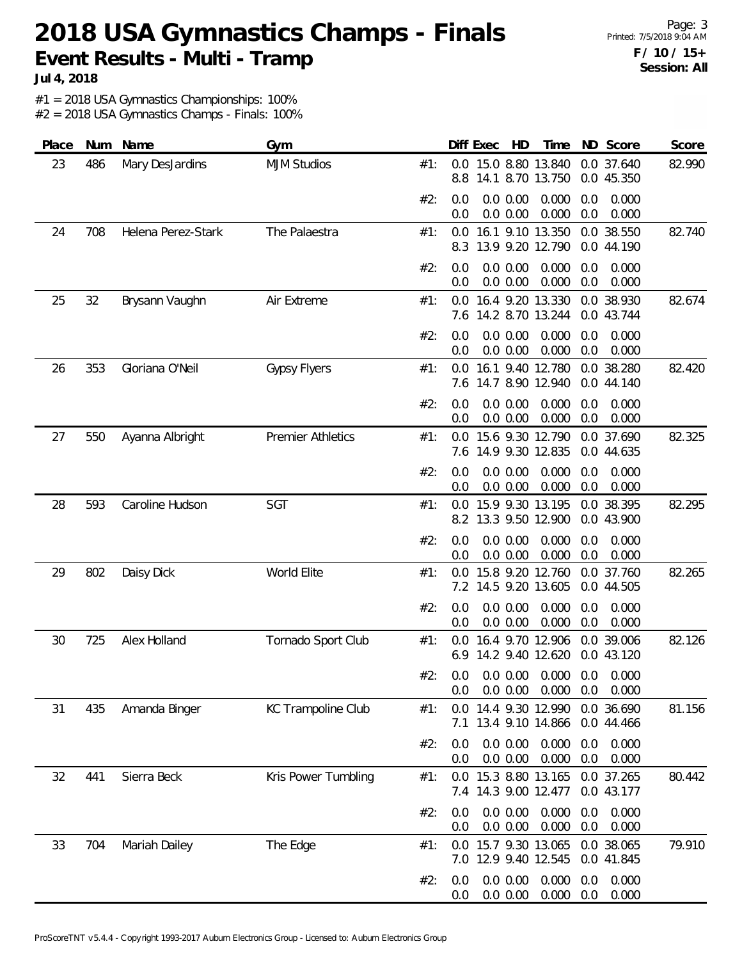Page: 3 Printed: 7/5/2018 9:04 AM **F / 10 / 15+ Session: All**

**Jul 4, 2018**

#1 = 2018 USA Gymnastics Championships: 100%

| Place | Num | Name               | Gym                      |     |            | Diff Exec | HD                   | Time                                              |            | ND Score                 | Score  |
|-------|-----|--------------------|--------------------------|-----|------------|-----------|----------------------|---------------------------------------------------|------------|--------------------------|--------|
| 23    | 486 | Mary DesJardins    | <b>MJM Studios</b>       | #1: | 0.0<br>8.8 |           |                      | 15.0 8.80 13.840<br>14.1 8.70 13.750              |            | 0.0 37.640<br>0.0 45.350 | 82.990 |
|       |     |                    |                          | #2: | 0.0<br>0.0 |           | 0.0 0.00<br>0.0 0.00 | 0.000<br>0.000                                    | 0.0<br>0.0 | 0.000<br>0.000           |        |
| 24    | 708 | Helena Perez-Stark | The Palaestra            | #1: | 0.0<br>8.3 |           |                      | 16.1 9.10 13.350<br>13.9 9.20 12.790              |            | 0.0 38.550<br>0.0 44.190 | 82.740 |
|       |     |                    |                          | #2: | 0.0<br>0.0 |           | 0.0 0.00<br>0.0 0.00 | 0.000<br>0.000                                    | 0.0<br>0.0 | 0.000<br>0.000           |        |
| 25    | 32  | Brysann Vaughn     | Air Extreme              | #1: | 0.0<br>7.6 |           |                      | 16.4 9.20 13.330<br>14.2 8.70 13.244              |            | 0.0 38.930<br>0.0 43.744 | 82.674 |
|       |     |                    |                          | #2: | 0.0<br>0.0 |           | 0.0 0.00<br>0.0 0.00 | 0.000<br>0.000                                    | 0.0<br>0.0 | 0.000<br>0.000           |        |
| 26    | 353 | Gloriana O'Neil    | <b>Gypsy Flyers</b>      | #1: | 0.0<br>7.6 |           |                      | 16.1 9.40 12.780<br>14.7 8.90 12.940              |            | 0.0 38.280<br>0.0 44.140 | 82.420 |
|       |     |                    |                          | #2: | 0.0<br>0.0 |           | 0.0 0.00<br>0.0 0.00 | 0.000<br>0.000                                    | 0.0<br>0.0 | 0.000<br>0.000           |        |
| 27    | 550 | Ayanna Albright    | <b>Premier Athletics</b> | #1: | 0.0        |           |                      | 15.6 9.30 12.790<br>7.6 14.9 9.30 12.835          |            | 0.0 37.690<br>0.0 44.635 | 82.325 |
|       |     |                    |                          | #2: | 0.0<br>0.0 |           | 0.0 0.00<br>0.0 0.00 | 0.000<br>0.000                                    | 0.0<br>0.0 | 0.000<br>0.000           |        |
| 28    | 593 | Caroline Hudson    | SGT                      | #1: | 0.0<br>8.2 |           |                      | 15.9 9.30 13.195<br>13.3 9.50 12.900              |            | 0.0 38.395<br>0.0 43.900 | 82.295 |
|       |     |                    |                          | #2: | 0.0<br>0.0 |           | 0.0 0.00<br>0.0 0.00 | 0.000<br>0.000                                    | 0.0<br>0.0 | 0.000<br>0.000           |        |
| 29    | 802 | Daisy Dick         | World Elite              | #1: | 0.0        |           |                      | 15.8 9.20 12.760<br>7.2 14.5 9.20 13.605          |            | 0.0 37.760<br>0.0 44.505 | 82.265 |
|       |     |                    |                          | #2: | 0.0<br>0.0 |           | 0.0 0.00<br>0.0 0.00 | 0.000<br>0.000                                    | 0.0<br>0.0 | 0.000<br>0.000           |        |
| 30    | 725 | Alex Holland       | Tornado Sport Club       | #1: | 0.0        |           |                      | 16.4 9.70 12.906<br>6.9 14.2 9.40 12.620          |            | 0.0 39.006<br>0.0 43.120 | 82.126 |
|       |     |                    |                          | #2: | 0.0        |           | 0.0 0.00             | $0.0$ $0.0$ $0.00$ $0.000$ $0.0$ $0.000$<br>0.000 | 0.0        | 0.000                    |        |
| 31    | 435 | Amanda Binger      | KC Trampoline Club       | #1: | 7.1        |           |                      | 0.0 14.4 9.30 12.990<br>13.4 9.10 14.866          |            | 0.0 36.690<br>0.0 44.466 | 81.156 |
|       |     |                    |                          | #2: | 0.0<br>0.0 |           | 0.0 0.00<br>0.0 0.00 | 0.000<br>0.000                                    | 0.0<br>0.0 | 0.000<br>0.000           |        |
| 32    | 441 | Sierra Beck        | Kris Power Tumbling      | #1: |            |           |                      | 0.0 15.3 8.80 13.165<br>7.4 14.3 9.00 12.477      |            | 0.0 37.265<br>0.0 43.177 | 80.442 |
|       |     |                    |                          | #2: | 0.0<br>0.0 |           | 0.0 0.00<br>0.0 0.00 | 0.000<br>0.000                                    | 0.0<br>0.0 | 0.000<br>0.000           |        |
| 33    | 704 | Mariah Dailey      | The Edge                 | #1: |            |           |                      | 0.0 15.7 9.30 13.065<br>7.0 12.9 9.40 12.545      |            | 0.0 38.065<br>0.0 41.845 | 79.910 |
|       |     |                    |                          | #2: | 0.0<br>0.0 |           | 0.0 0.00<br>0.0 0.00 | 0.000<br>0.000                                    | 0.0<br>0.0 | 0.000<br>0.000           |        |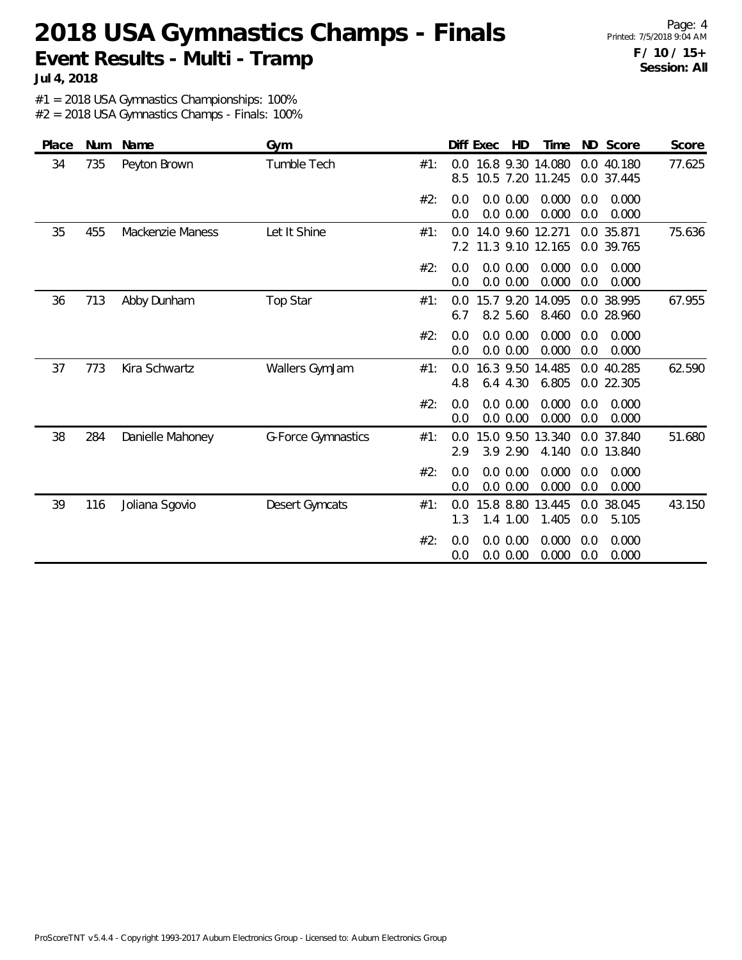Page: 4 Printed: 7/5/2018 9:04 AM **F / 10 / 15+ Session: All**

**Jul 4, 2018**

#1 = 2018 USA Gymnastics Championships: 100%

| Place | <b>Num</b> | Name                    | Gym                |     | Diff Exec            | HD                                   | Time            |            | ND Score                 | Score  |
|-------|------------|-------------------------|--------------------|-----|----------------------|--------------------------------------|-----------------|------------|--------------------------|--------|
| 34    | 735        | Peyton Brown            | Tumble Tech        | #1: | $0.0^{\circ}$<br>8.5 | 16.8 9.30 14.080<br>10.5 7.20 11.245 |                 |            | 0.0 40.180<br>0.0 37.445 | 77.625 |
|       |            |                         |                    | #2: | 0.0<br>0.0           | 0.0 0.00<br>0.0 0.00                 | 0.000<br>0.000  | 0.0<br>0.0 | 0.000<br>0.000           |        |
| 35    | 455        | <b>Mackenzie Maness</b> | Let It Shine       | #1: | 0.0<br>7.2           | 14.0 9.60 12.271<br>11.3 9.10 12.165 |                 |            | 0.0 35.871<br>0.0 39.765 | 75.636 |
|       |            |                         |                    | #2: | 0.0<br>0.0           | 0.0 0.00<br>0.0 0.00                 | 0.000<br>0.000  | 0.0<br>0.0 | 0.000<br>0.000           |        |
| 36    | 713        | Abby Dunham             | Top Star           | #1: | 0.0<br>6.7           | 15.7 9.20<br>8.2 5.60                | 14.095<br>8.460 |            | 0.0 38.995<br>0.0 28.960 | 67.955 |
|       |            |                         |                    | #2: | 0.0<br>0.0           | 0.0 0.00<br>0.0 0.00                 | 0.000<br>0.000  | 0.0<br>0.0 | 0.000<br>0.000           |        |
| 37    | 773        | Kira Schwartz           | Wallers GymJam     | #1: | 0.0<br>4.8           | 16.3 9.50<br>6.4 4.30                | 14.485<br>6.805 |            | 0.0 40.285<br>0.0 22.305 | 62.590 |
|       |            |                         |                    | #2: | 0.0<br>0.0           | 0.0 0.00<br>0.0 0.00                 | 0.000<br>0.000  | 0.0<br>0.0 | 0.000<br>0.000           |        |
| 38    | 284        | Danielle Mahoney        | G-Force Gymnastics | #1: | 0.0<br>2.9           | 15.0 9.50<br>3.9 2.90                | 13.340<br>4.140 |            | 0.0 37.840<br>0.0 13.840 | 51.680 |
|       |            |                         |                    | #2: | 0.0<br>0.0           | 0.0 0.00<br>0.0 0.00                 | 0.000<br>0.000  | 0.0<br>0.0 | 0.000<br>0.000           |        |
| 39    | 116        | Joliana Sgovio          | Desert Gymcats     | #1: | 0.0<br>1.3           | 15.8 8.80<br>1.4 1.00                | 13.445<br>1.405 | 0.0<br>0.0 | 38.045<br>5.105          | 43.150 |
|       |            |                         |                    | #2: | 0.0<br>0.0           | 0.0 0.00<br>0.0 0.00                 | 0.000<br>0.000  | 0.0<br>0.0 | 0.000<br>0.000           |        |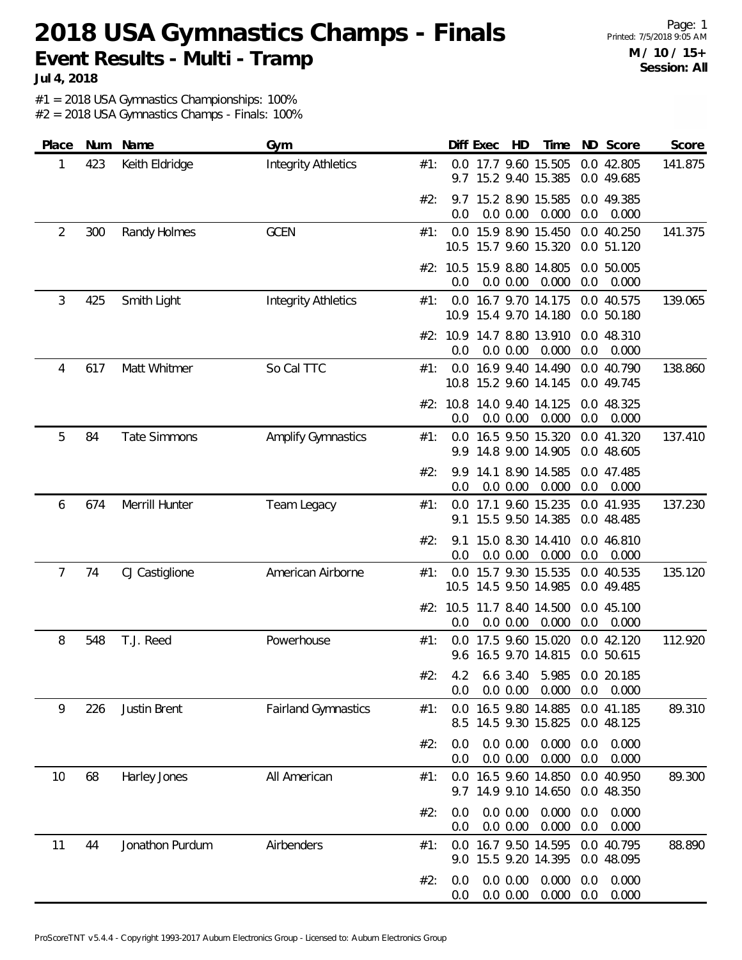Page: 1 Printed: 7/5/2018 9:05 AM **M / 10 / 15+ Session: All**

**Jul 4, 2018**

#1 = 2018 USA Gymnastics Championships: 100%

| Place          | Num | Name                | Gym                        |     |                 | Diff Exec | HD                   | Time                                                      |            | ND Score                 | Score   |
|----------------|-----|---------------------|----------------------------|-----|-----------------|-----------|----------------------|-----------------------------------------------------------|------------|--------------------------|---------|
| 1              | 423 | Keith Eldridge      | <b>Integrity Athletics</b> | #1: | 9.7             |           |                      | 0.0 17.7 9.60 15.505<br>15.2 9.40 15.385                  |            | 0.0 42.805<br>0.0 49.685 | 141.875 |
|                |     |                     |                            | #2: | 9.7<br>0.0      |           | 0.0 0.00             | 15.2 8.90 15.585<br>0.000                                 | 0.0        | 0.0 49.385<br>0.000      |         |
| $\overline{2}$ | 300 | Randy Holmes        | <b>GCEN</b>                | #1: |                 |           |                      | 0.0 15.9 8.90 15.450<br>10.5 15.7 9.60 15.320             |            | 0.0 40.250<br>0.0 51.120 | 141.375 |
|                |     |                     |                            |     | 0.0             |           | 0.0 0.00             | #2: 10.5 15.9 8.80 14.805<br>0.000                        | 0.0        | 0.0 50.005<br>0.000      |         |
| $\mathfrak{Z}$ | 425 | Smith Light         | <b>Integrity Athletics</b> | #1: |                 |           |                      | 0.0 16.7 9.70 14.175<br>10.9 15.4 9.70 14.180             |            | 0.0 40.575<br>0.0 50.180 | 139.065 |
|                |     |                     |                            |     | #2: 10.9<br>0.0 |           | 0.0 0.00             | 14.7 8.80 13.910<br>0.000                                 | 0.0        | 0.0 48.310<br>0.000      |         |
| 4              | 617 | Matt Whitmer        | So Cal TTC                 | #1: | 0.0             |           |                      | 16.9 9.40 14.490<br>10.8 15.2 9.60 14.145                 |            | 0.0 40.790<br>0.0 49.745 | 138.860 |
|                |     |                     |                            |     | 0.0             |           | 0.0 0.00             | #2: 10.8 14.0 9.40 14.125<br>0.000                        | 0.0        | 0.0 48.325<br>0.000      |         |
| 5              | 84  | <b>Tate Simmons</b> | <b>Amplify Gymnastics</b>  | #1: | 0.0<br>9.9      |           |                      | 16.5 9.50 15.320<br>14.8 9.00 14.905                      |            | 0.0 41.320<br>0.0 48.605 | 137.410 |
|                |     |                     |                            | #2: | 9.9<br>0.0      |           | 0.0 0.00             | 14.1 8.90 14.585<br>0.000                                 | 0.0        | 0.0 47.485<br>0.000      |         |
| 6              | 674 | Merrill Hunter      | Team Legacy                | #1: | 9.1             |           |                      | 0.0 17.1 9.60 15.235<br>15.5 9.50 14.385                  |            | 0.0 41.935<br>0.0 48.485 | 137.230 |
|                |     |                     |                            | #2: | 9.1<br>0.0      |           | 0.0 0.00             | 15.0 8.30 14.410<br>0.000                                 | 0.0        | 0.0 46.810<br>0.000      |         |
| 7              | 74  | CJ Castiglione      | American Airborne          | #1: | 0.0             |           |                      | 15.7 9.30 15.535<br>10.5 14.5 9.50 14.985                 |            | 0.0 40.535<br>0.0 49.485 | 135.120 |
|                |     |                     |                            |     | #2: 10.5<br>0.0 |           | 0.0 0.00             | 11.7 8.40 14.500<br>0.000                                 | 0.0        | 0.0 45.100<br>0.000      |         |
| 8              | 548 | T.J. Reed           | Powerhouse                 | #1: | 0.0             |           |                      | 17.5 9.60 15.020<br>9.6 16.5 9.70 14.815                  |            | 0.0 42.120<br>0.0 50.615 | 112.920 |
|                |     |                     |                            | #2: | 0.0             |           |                      | 4.2 6.6 3.40 5.985 0.0 20.185<br>0.0 0.00 0.000 0.0 0.000 |            |                          |         |
| 9              | 226 | Justin Brent        | <b>Fairland Gymnastics</b> | #1: | 0.0<br>8.5      |           |                      | 16.5 9.80 14.885<br>14.5 9.30 15.825                      |            | 0.0 41.185<br>0.0 48.125 | 89.310  |
|                |     |                     |                            | #2: | 0.0<br>0.0      |           | 0.0 0.00<br>0.0 0.00 | 0.000<br>0.000                                            | 0.0<br>0.0 | 0.000<br>0.000           |         |
| 10             | 68  | Harley Jones        | All American               | #1: |                 |           |                      | 0.0 16.5 9.60 14.850<br>9.7 14.9 9.10 14.650              |            | 0.0 40.950<br>0.0 48.350 | 89.300  |
|                |     |                     |                            | #2: | 0.0<br>0.0      |           | 0.0 0.00<br>0.0 0.00 | 0.000<br>0.000                                            | 0.0<br>0.0 | 0.000<br>0.000           |         |
| 11             | 44  | Jonathon Purdum     | Airbenders                 | #1: | 0.0             |           |                      | 16.7 9.50 14.595<br>9.0 15.5 9.20 14.395                  |            | 0.0 40.795<br>0.0 48.095 | 88.890  |
|                |     |                     |                            | #2: | 0.0<br>0.0      |           | 0.0 0.00<br>0.0 0.00 | 0.000<br>0.000                                            | 0.0<br>0.0 | 0.000<br>0.000           |         |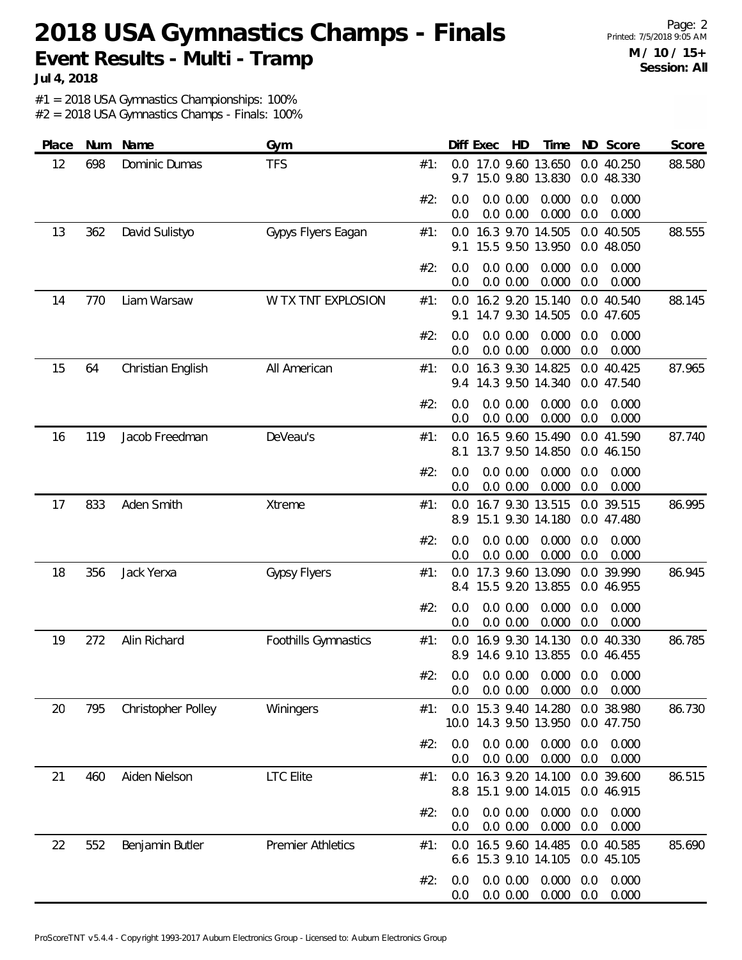**Jul 4, 2018**

#1 = 2018 USA Gymnastics Championships: 100%

| Place | Num | Name               | Gym                      |     |             | Diff Exec | HD                   | Time                                     |            | ND Score                 | Score  |
|-------|-----|--------------------|--------------------------|-----|-------------|-----------|----------------------|------------------------------------------|------------|--------------------------|--------|
| 12    | 698 | Dominic Dumas      | <b>TFS</b>               | #1: | 9.7         |           |                      | 0.0 17.0 9.60 13.650<br>15.0 9.80 13.830 |            | 0.0 40.250<br>0.0 48.330 | 88.580 |
|       |     |                    |                          | #2: | 0.0<br>0.0  |           | 0.0 0.00<br>0.0 0.00 | 0.000<br>0.000                           | 0.0<br>0.0 | 0.000<br>0.000           |        |
| 13    | 362 | David Sulistyo     | Gypys Flyers Eagan       | #1: | 0.0<br>9.1  |           |                      | 16.3 9.70 14.505<br>15.5 9.50 13.950     |            | 0.0 40.505<br>0.0 48.050 | 88.555 |
|       |     |                    |                          | #2: | 0.0<br>0.0  |           | 0.0 0.00<br>0.0 0.00 | 0.000<br>0.000                           | 0.0<br>0.0 | 0.000<br>0.000           |        |
| 14    | 770 | Liam Warsaw        | W TX TNT EXPLOSION       | #1: | 0.0<br>9.1  |           |                      | 16.2 9.20 15.140<br>14.7 9.30 14.505     |            | 0.0 40.540<br>0.0 47.605 | 88.145 |
|       |     |                    |                          | #2: | 0.0<br>0.0  |           | 0.0 0.00<br>0.0 0.00 | 0.000<br>0.000                           | 0.0<br>0.0 | 0.000<br>0.000           |        |
| 15    | 64  | Christian English  | All American             | #1: | 0.0<br>9.4  |           |                      | 16.3 9.30 14.825<br>14.3 9.50 14.340     |            | 0.0 40.425<br>0.0 47.540 | 87.965 |
|       |     |                    |                          | #2: | 0.0<br>0.0  |           | 0.0 0.00<br>0.0 0.00 | 0.000<br>0.000                           | 0.0<br>0.0 | 0.000<br>0.000           |        |
| 16    | 119 | Jacob Freedman     | DeVeau's                 | #1: | 0.0<br>8.1  |           |                      | 16.5 9.60 15.490<br>13.7 9.50 14.850     |            | 0.0 41.590<br>0.0 46.150 | 87.740 |
|       |     |                    |                          | #2: | 0.0<br>0.0  |           | 0.0 0.00<br>0.0 0.00 | 0.000<br>0.000                           | 0.0<br>0.0 | 0.000<br>0.000           |        |
| 17    | 833 | Aden Smith         | Xtreme                   | #1: | 0.0<br>8.9  |           |                      | 16.7 9.30 13.515<br>15.1 9.30 14.180     |            | 0.0 39.515<br>0.0 47.480 | 86.995 |
|       |     |                    |                          | #2: | 0.0<br>0.0  |           | 0.0 0.00<br>0.0 0.00 | 0.000<br>0.000                           | 0.0<br>0.0 | 0.000<br>0.000           |        |
| 18    | 356 | Jack Yerxa         | <b>Gypsy Flyers</b>      | #1: | 0.0<br>8.4  |           |                      | 17.3 9.60 13.090<br>15.5 9.20 13.855     |            | 0.0 39.990<br>0.0 46.955 | 86.945 |
|       |     |                    |                          | #2: | 0.0<br>0.0  |           | 0.0 0.00<br>0.0 0.00 | 0.000<br>0.000                           | 0.0<br>0.0 | 0.000<br>0.000           |        |
| 19    | 272 | Alin Richard       | Foothills Gymnastics     | #1: | 0.0<br>8.9  |           |                      | 16.9 9.30 14.130<br>14.6 9.10 13.855     |            | 0.0 40.330<br>0.0 46.455 | 86.785 |
|       |     |                    |                          | #2: | 0.0<br>0.0  |           | 0.0 0.00             | $0.0$ $0.00$ $0.000$ $0.0$<br>0.000      | 0.0        | 0.000<br>0.000           |        |
| 20    | 795 | Christopher Polley | Winingers                | #1: | 0.0<br>10.0 |           |                      | 15.3 9.40 14.280<br>14.3 9.50 13.950     |            | 0.0 38.980<br>0.0 47.750 | 86.730 |
|       |     |                    |                          | #2: | 0.0<br>0.0  |           | 0.0 0.00<br>0.0 0.00 | 0.000<br>0.000                           | 0.0<br>0.0 | 0.000<br>0.000           |        |
| 21    | 460 | Aiden Nielson      | <b>LTC</b> Elite         | #1: | 0.0<br>8.8  |           |                      | 16.3 9.20 14.100<br>15.1 9.00 14.015     |            | 0.0 39.600<br>0.0 46.915 | 86.515 |
|       |     |                    |                          | #2: | 0.0<br>0.0  |           | 0.0 0.00<br>0.0 0.00 | 0.000<br>0.000                           | 0.0<br>0.0 | 0.000<br>0.000           |        |
| 22    | 552 | Benjamin Butler    | <b>Premier Athletics</b> | #1: | 0.0<br>6.6  |           |                      | 16.5 9.60 14.485<br>15.3 9.10 14.105     |            | 0.0 40.585<br>0.0 45.105 | 85.690 |
|       |     |                    |                          | #2: | 0.0<br>0.0  |           | 0.0 0.00<br>0.0 0.00 | 0.000<br>0.000                           | 0.0<br>0.0 | 0.000<br>0.000           |        |